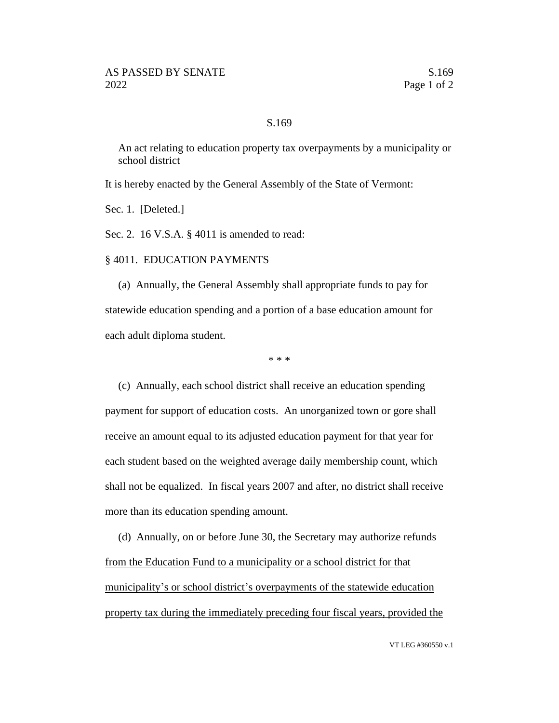## S.169

An act relating to education property tax overpayments by a municipality or school district

It is hereby enacted by the General Assembly of the State of Vermont:

Sec. 1. [Deleted.]

Sec. 2. 16 V.S.A. § 4011 is amended to read:

§ 4011. EDUCATION PAYMENTS

(a) Annually, the General Assembly shall appropriate funds to pay for statewide education spending and a portion of a base education amount for each adult diploma student.

\* \* \*

(c) Annually, each school district shall receive an education spending payment for support of education costs. An unorganized town or gore shall receive an amount equal to its adjusted education payment for that year for each student based on the weighted average daily membership count, which shall not be equalized. In fiscal years 2007 and after, no district shall receive more than its education spending amount.

(d) Annually, on or before June 30, the Secretary may authorize refunds from the Education Fund to a municipality or a school district for that municipality's or school district's overpayments of the statewide education property tax during the immediately preceding four fiscal years, provided the

VT LEG #360550 v.1